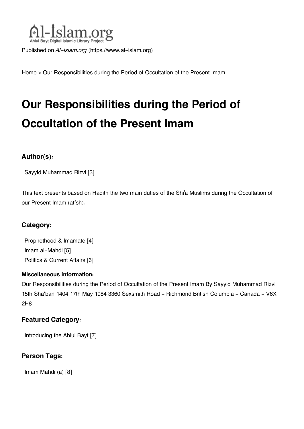

Published on *Al-Islam.org* ([https://www.al-islam.org\)](https://www.al-islam.org)

[Home](https://www.al-islam.org/) > Our Responsibilities during the Period of Occultation of the Present Imam

# **Our Responsibilities during the Period of Occultation of the Present Imam**

#### **Author(s):**

[Sayyid Muhammad Rizvi](https://www.al-islam.org/taxonomy/term/3802) [3]

This text presents based on Hadith the two main duties of the Shi'a Muslims during the Occultation of our Present Imam (atfsh).

#### **Category:**

[Prophethood & Imamate](https://www.al-islam.org/library/prophethood-imamate) [4] [Imam al-Mahdi](https://www.al-islam.org/library/imam-al-mahdi) [5] [Politics & Current Affairs](https://www.al-islam.org/library/politics-current-affairs) [6]

#### **Miscellaneous information:**

Our Responsibilities during the Period of Occultation of the Present Imam By Sayyid Muhammad Rizvi 15th Sha'ban 1404 17th May 1984 3360 Sexsmith Road - Richmond British Columbia - Canada - V6X 2H8

#### **Featured Category:**

[Introducing the Ahlul Bayt](https://www.al-islam.org/feature/introducing-ahlul-bayt) [7]

#### **Person Tags:**

[Imam Mahdi \(a\)](https://www.al-islam.org/person/imam-al-mahdi) [8]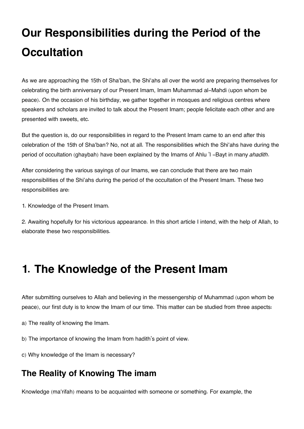# **Our Responsibilities during the Period of the Occultation**

As we are approaching the 15th of Sha'ban, the Shi'ahs all over the world are preparing themselves for celebrating the birth anniversary of our Present Imam, Imam Muhammad al-Mahdi (upon whom be peace). On the occasion of his birthday, we gather together in mosques and religious centres where speakers and scholars are invited to talk about the Present Imam; people felicitate each other and are presented with sweets, etc.

But the question is, do our responsibilities in regard to the Present Imam came to an end after this celebration of the 15th of Sha'ban? No, not at all. The responsibilities which the Shi'ahs have during the period of occultation (ghaybah) have been explained by the Imams of Ahlu 'l -Bayt in many *ahadith*.

After considering the various sayings of our Imams, we can conclude that there are two main responsibilities of the Shi'ahs during the period of the occultation of the Present Imam. These two responsibilities are:

1. Knowledge of the Present Imam.

2. Awaiting hopefully for his victorious appearance. In this short article I intend, with the help of Allah, to elaborate these two responsibilities.

## **1. The Knowledge of the Present Imam**

After submitting ourselves to Allah and believing in the messengership of Muhammad (upon whom be peace), our first duty is to know the Imam of our time. This matter can be studied from three aspects:

a) The reality of knowing the Imam.

b) The importance of knowing the Imam from hadith's point of view.

c) Why knowledge of the Imam is necessary?

## <span id="page-1-0"></span>**[The Reality of Knowing The imam](#page-1-0)**

Knowledge (ma'rifah) means to be acquainted with someone or something. For example, the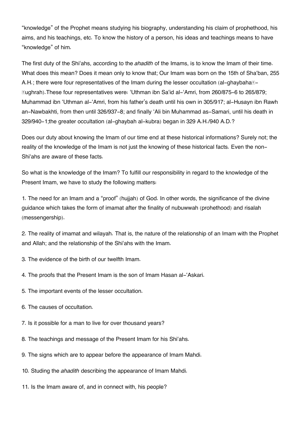"knowledge" of the Prophet means studying his biography, understanding his claim of prophethood, his aims, and his teachings, etc. To know the history of a person, his ideas and teachings means to have "knowledge" of him.

The first duty of the Shi'ahs, according to the *ahadith* of the Imams, is to know the Imam of their time. What does this mean? Does it mean only to know that; Our Imam was born on the 15th of Sha'ban, 255 A.H.; there were four representatives of the Imam during the lesser occultation (al-ghaybaha $\ni$ Ṣughrah).These four representatives were: 'Uthman ibn Sa'id al-'Amri, from 260/875-6 to 265/879; Muhammad ibn 'Uthman al-'Amri, from his father's death until his own in 305/917; al-Husayn ibn Rawh an-Nawbakhti, from then until 326/937-8; and finally 'Ali bin Muhammad as-Samari, until his death in 329/940-1;the greater occultation (al-ghaybah al-kubra) began in 329 A.H./940 A.D.?

Does our duty about knowing the Imam of our time end at these historical informations? Surely not; the reality of the knowledge of the Imam is not just the knowing of these historical facts. Even the non-Shi'ahs are aware of these facts.

So what is the knowledge of the Imam? To fulfill our responsibility in regard to the knowledge of the Present Imam, we have to study the following matters:

1. The need for an Imam and a "proof" (hujjah) of God. In other words, the significance of the divine guidance which takes the form of imamat after the finality of nubuwwah (prohethood) and risalah (messengership).

2. The reality of imamat and wilayah. That is, the nature of the relationship of an Imam with the Prophet and Allah; and the relationship of the Shi'ahs with the Imam.

- 3. The evidence of the birth of our twelfth Imam.
- 4. The proofs that the Present Imam is the son of Imam Hasan al-'Askari.
- 5. The important events of the lesser occultation.
- 6. The causes of occultation.
- 7. Is it possible for a man to live for over thousand years?
- 8. The teachings and message of the Present Imam for his Shi'ahs.
- 9. The signs which are to appear before the appearance of Imam Mahdi.
- 10. Studing the *ahadith* describing the appearance of Imam Mahdi.
- 11. Is the Imam aware of, and in connect with, his people?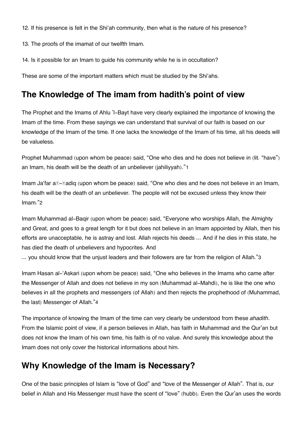12. If his presence is felt in the Shi'ah community, then what is the nature of his presence?

13. The proofs of the imamat of our twelfth Imam.

14. Is it possible for an Imam to guide his community while he is in occultation?

These are some of the important matters which must be studied by the Shi'ahs.

## <span id="page-3-0"></span>**[The Knowledge of The imam from hadith's point of view](#page-3-0)**

The Prophet and the Imams of Ahlu 'l-Bayt have very clearly explained the importance of knowing the Imam of the time. From these sayings we can understand that survival of our faith is based on our knowledge of the Imam of the time. If one lacks the knowledge of the Imam of his time, all his deeds will be valueless.

<span id="page-3-2"></span>Prophet Muhammad (upon whom be peace) said, "One who dies and he does not believe in (lit. "have") an Imam, his death will be the death of an unbeliever (jahiliyyah)."[1](#page-6-0)

<span id="page-3-3"></span>Imam Ja'far a*z***-zadiq (upon whom be peace) said, "One who dies and he does not believe in an Imam,** his death will be the death of an unbeliever. The people will not be excused unless they know their Imam."[2](#page-6-1)

Imam Muhammad al-Baqir (upon whom be peace) said, "Everyone who worships Allah, the Almighty and Great, and goes to a great length for it but does not believe in an Imam appointed by Allah, then his efforts are unacceptable, he is astray and lost. Allah rejects his deeds ... And if he dies in this state, he has died the death of unbelievers and hypocrites. And

<span id="page-3-4"></span>... you should know that the unjust leaders and their followers are far from the religion of Allah."[3](#page-6-2)

Imam Hasan al-'Askari (upon whom be peace) said, "One who believes in the Imams who came after the Messenger of Allah and does not believe in my son (Muhammad al-Mahdi), he is like the one who believes in all the prophets and messengers (of Allah) and then rejects the prophethood of (Muhammad, the last) Messenger of Allah."[4](#page-6-3)

<span id="page-3-5"></span>The importance of knowing the Imam of the time can very clearly be understood from these *ahadith*. From the Islamic point of view, if a person believes in Allah, has faith in Muhammad and the Qur'an but does not know the Imam of his own time, his faith is of no value. And surely this knowledge about the Imam does not only cover the historical informations about him.

## <span id="page-3-1"></span>**[Why Knowledge of the Imam is Necessary?](#page-3-1)**

One of the basic principles of Islam is "love of God" and "love of the Messenger of Allah". That is, our belief in Allah and His Messenger must have the scent of "love" (hubb). Even the Qur'an uses the words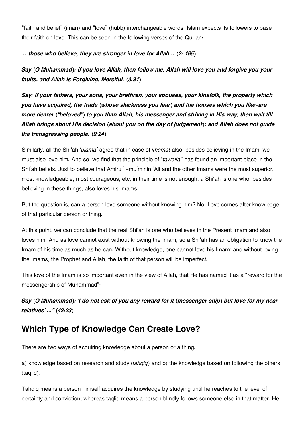"faith and belief" (iman) and "love" (hubb) interchangeable words. Islam expects its followers to base their faith on love. This can be seen in the following verses of the Qur'an:

#### *... those who believe, they are stronger in love for Allah... (2: 165)*

*Say (O Muhammad): If you love Allah, then follow me, Allah will love you and forgive you your faults, and Allah is Forgiving, Merciful. (3:31)*

*Say: If your fathers, your sons, your brethren, your spouses, your kinsfolk, the property which you have acquired, the trade (whose slackness you fear) and the houses which you like-are more dearer ("beloved") to you than Allah, his messenger and striving in His way, then wait till Allah brings about His decision (about you on the day of judgement); and Allah does not guide the transgressing people. (9:24)*

Similarly, all the Shi'ah '*ulama'* agree that in case of *imamat* also, besides believing in the Imam, we must also love him. And so, we find that the principle of "*tawalla*" has found an important place in the Shi'ah beliefs. Just to believe that Amiru 'l-mu'minin 'Ali and the other Imams were the most superior, most knowledgeable, most courageous, etc, in their time is not enough; a Shi'ah is one who, besides believing in these things, also loves his Imams.

But the question is, can a person love someone without knowing him? No. Love comes after knowledge of that particular person or thing.

At this point, we can conclude that the real Shi'ah is one who believes in the Present Imam and also loves him. And as love cannot exist without knowing the Imam, so a Shi'ah has an obligation to know the Imam of his time as much as he can. Without knowledge, one cannot love his Imam; and without loving the Imams, the Prophet and Allah, the faith of that person will be imperfect.

This love of the Imam is so important even in the view of Allah, that He has named it as a "reward for the messengership of Muhammad":

*Say (O Muhammad): 'I do not ask of you any reward for it (messenger ship) but love for my near relatives' ..." (42:23)*

## <span id="page-4-0"></span>**[Which Type of Knowledge Can Create Love?](#page-4-0)**

There are two ways of acquiring knowledge about a person or a thing:

a) knowledge based on research and study (*tahqiq*) and b) the knowledge based on following the others (taqlid).

Tahqiq means a person himself acquires the knowledge by studying until he reaches to the level of certainty and conviction; whereas taqlid means a person blindly follows someone else in that matter. He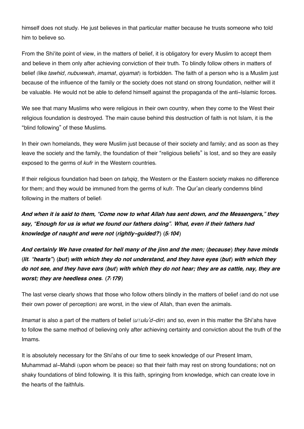himself does not study. He just believes in that particular matter because he trusts someone who told him to believe so.

From the Shi'ite point of view, in the matters of belief, it is obligatory for every Muslim to accept them and believe in them only after achieving conviction of their truth. To blindly follow others in matters of belief (like *tawhid*, *nubuwwah*, *imamat*, *qiyamat*) is forbidden. The faith of a person who is a Muslim just because of the influence of the family or the society does not stand on strong foundation, neither will it be valuable. He would not be able to defend himself against the propaganda of the anti-Islamic forces.

We see that many Muslims who were religious in their own country, when they come to the West their religious foundation is destroyed. The main cause behind this destruction of faith is not Islam, it is the "blind following" of these Muslims.

In their own homelands, they were Muslim just because of their society and family; and as soon as they leave the society and the family, the foundation of their "religious beliefs" is lost, and so they are easily exposed to the germs of *kufr* in the Western countries.

If their religious foundation had been on *tahqiq*, the Western or the Eastern society makes no difference for them; and they would be immuned from the germs of kufr. The Qur'an clearly condemns blind following in the matters of belief:

*And when it is said to them, "Come now to what Allah has sent down, and the Messengers," they say, "Enough for us is what we found our fathers doing". What, even if their fathers had knowledge of naught and were not (rightly-guided?) (5:104)*

*And certainly We have created for hell many of the jinn and the men; (because) they have minds (lit. "hearts") (but) with which they do not understand, and they have eyes (but) with which they do not see, and they have ears (but) with which they do not hear; they are as cattle, nay, they are worst; they are heedless ones. (7:179)*

The last verse clearly shows that those who follow others blindly in the matters of belief (and do not use their own power of perception) are worst, in the view of Allah, than even the animals.

*Imamat* is also a part of the matters of belief (*uvulu'd-din*) and so, even in this matter the Shi'ahs have to follow the same method of believing only after achieving certainty and conviction about the truth of the Imams.

It is absolutely necessary for the Shi'ahs of our time to seek knowledge of our Present Imam, Muhammad al-Mahdi (upon whom be peace) so that their faith may rest on strong foundations; not on shaky foundations of blind following. It is this faith, springing from knowledge, which can create love in the hearts of the faithfuls.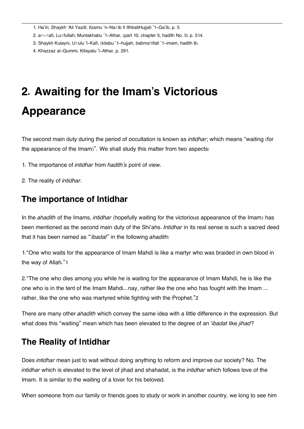- <span id="page-6-0"></span>[1.](#page-3-2) Ha'iri, Shaykh 'Ali Yazdi; Ilzamu 'n-Naṣib fi IthbatiHujjati '1-Ga'ib, p. 5
- <span id="page-6-1"></span>[2.](#page-3-3) a**z-Zafi, Luzfullah; Muntakhabu '1-Athar**, (part 10, chapter 5, hadith No. 5) p. 514.
- <span id="page-6-2"></span>[3.](#page-3-4) Shaykh Kulayni, Uṣulu 'l-Kafi, (kitabu '1-hujjah, babma'rifati '1-imam, hadith 8).
- <span id="page-6-3"></span>[4.](#page-3-5) Khazzaz al-Qummi, Kifayatu 'l-Athar, p. 291.

# **2. Awaiting for the Imam's Victorious Appearance**

The second main duty during the period of occultation is known as *intidhar*; which means "waiting (for the appearance of the Imam)". We shall study this matter from two aspects:

- 1. The importance of *intidhar* from *hadith's* point of view.
- 2. The reality of *intidhar*.

### <span id="page-6-4"></span>**[The importance of Intidhar](#page-6-4)**

In the *ahadith* of the Imams, *intidhar* (hopefully waiting for the victorious appearance of the Imam) has been mentioned as the second main duty of the Shi'ahs. *Intidhar* in its real sense is such a sacred deed that it has been named as "'*ibadat*" in the following *ahadith*:

<span id="page-6-6"></span>1."One who waits for the appearance of Imam Mahdi is like a martyr who was braided in own blood in the way of Allah."[1](#page-9-0)

<span id="page-6-7"></span>2."The one who dies among you while he is waiting for the appearance of Imam Mahdi, he is like the one who is in the tent of the Imam Mahdi...nay, rather like the one who has fought with the Imam ... rather, like the one who was martyred while fighting with the Prophet."[2](#page-9-1)

There are many other *ahadith* which convey the same idea with a little difference in the expression. But what does this "waiting" mean which has been elevated to the degree of an '*ibadat* like *jihad*?

## <span id="page-6-5"></span>**[The Reality of Intidhar](#page-6-5)**

Does *intidhar* mean just to wait without doing anything to reform and improve our society? No. The *intidhar* which is elevated to the level of jihad and shahadat, is the *intidhar* which follows love of the Imam. It is similar to the waiting of a lover for his beloved.

When someone from our family or friends goes to study or work in another country, we long to see him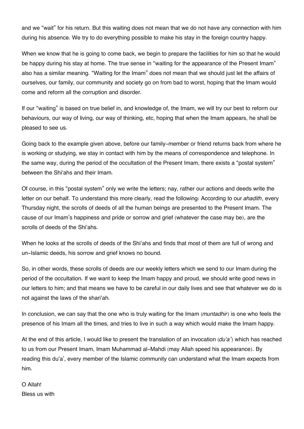and we "wait" for his return. But this waiting does not mean that we do not have any connection with him during his absence. We try to do everything possible to make his stay in the foreign country happy.

When we know that he is going to come back, we begin to prepare the facilities for him so that he would be happy during his stay at home. The true sense in "waiting for the appearance of the Present Imam" also has a similar meaning. "Waiting for the Imam" does not mean that we should just let the affairs of ourselves, our family, our community and society go on from bad to worst, hoping that the Imam would come and reform all the corruption and disorder.

If our "waiting" is based on true belief in, and knowledge of, the Imam, we will try our best to reform our behaviours, our way of living, our way of thinking, etc, hoping that when the Imam appears, he shall be pleased to see us.

Going back to the example given above, before our family-member or friend returns back from where he is working or studying, we stay in contact with him by the means of correspondence and telephone. In the same way, during the period of the occultation of the Present Imam, there exists a "postal system" between the Shi'ahs and their Imam.

Of course, in this "postal system" only we write the letters; nay, rather our actions and deeds write the letter on our behalf. To understand this more clearly, read the following: According to our *ahadith*, every Thursday night, the scrolls of deeds of all the human beings are presented to the Present Imam. The cause of our Imam's happiness and pride or sorrow and grief (whatever the case may be), are the scrolls of deeds of the Shi'ahs.

When he looks at the scrolls of deeds of the Shi'ahs and finds that most of them are full of wrong and un-Islamic deeds, his sorrow and grief knows no bound.

So, in other words, these scrolls of deeds are our weekly letters which we send to our Imam during the period of the occultation. If we want to keep the Imam happy and proud, we should write good news in our letters to him; and that means we have to be careful in our daily lives and see that whatever we do is not against the laws of the shari'ah.

In conclusion, we can say that the one who is truly waiting for the Imam (*muntadhir*) is one who feels the presence of his Imam all the times, and tries to live in such a way which would make the Imam happy.

At the end of this article, I would like to present the translation of an invocation (*du'a'*) which has reached to us from our Present Imam, Imam Muhammad al-Mahdi (may Allah speed his appearance). By reading this du'a', every member of the Islamic community can understand what the Imam expects from him.

#### O Allah! Bless us with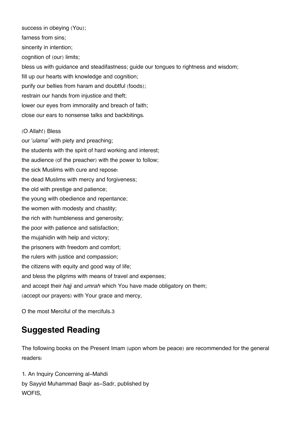success in obeying (You); farness from sins; sincerity in intention; cognition of (our) limits; bless us with guidance and steadifastness; guide our tongues to rightness and wisdom; fill up our hearts with knowledge and cognition; purify our bellies from haram and doubtful (foods); restrain our hands from injustice and theft; lower our eyes from immorality and breach of faith; close our ears to nonsense talks and backbitings.

#### (O Allah!) Bless

our '*ulama'* with piety and preaching; the students with the spirit of hard working and interest; the audience (of the preacher) with the power to follow; the sick Muslims with cure and repose: the dead Muslims with mercy and forgiveness; the old with prestige and patience; the young with obedience and repentance; the women with modesty and chastity; the rich with humbleness and generosity; the poor with patience and satisfaction; the mujahidin with help and victory; the prisoners with freedom and comfort; the rulers with justice and compassion; the citizens with equity and good way of life; and bless the pilgrims with means of travel and expenses; and accept their *hajj* and *umrah* which You have made obligatory on them; (accept our prayers) with Your grace and mercy,

<span id="page-8-1"></span>O the most Merciful of the mercifuls.[3](#page-9-2)

## <span id="page-8-0"></span>**[Suggested Reading](#page-8-0)**

The following books on the Present Imam (upon whom be peace) are recommended for the general readers:

1. An Inquiry Concerning al-Mahdi by Sayyid Muhammad Baqir as-Sadr, published by WOFIS,